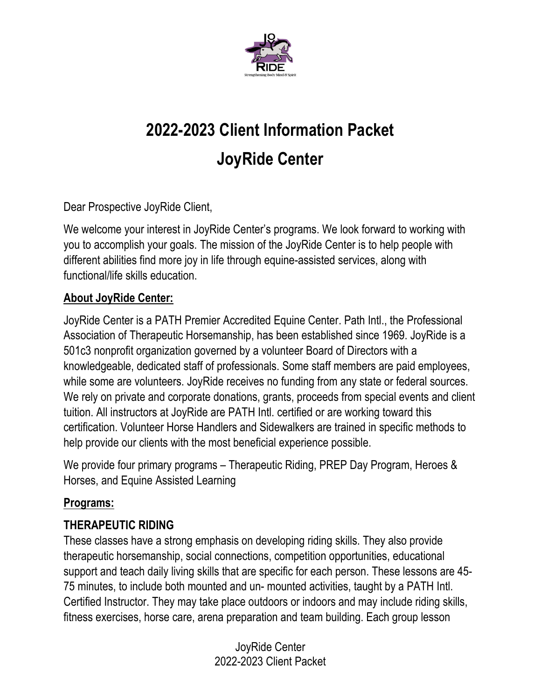

# **2022-2023 Client Information Packet JoyRide Center**

Dear Prospective JoyRide Client,

We welcome your interest in JoyRide Center's programs. We look forward to working with you to accomplish your goals. The mission of the JoyRide Center is to help people with different abilities find more joy in life through equine-assisted services, along with functional/life skills education.

# **About JoyRide Center:**

JoyRide Center is a PATH Premier Accredited Equine Center. Path Intl., the Professional Association of Therapeutic Horsemanship, has been established since 1969. JoyRide is a 501c3 nonprofit organization governed by a volunteer Board of Directors with a knowledgeable, dedicated staff of professionals. Some staff members are paid employees, while some are volunteers. JoyRide receives no funding from any state or federal sources. We rely on private and corporate donations, grants, proceeds from special events and client tuition. All instructors at JoyRide are PATH Intl. certified or are working toward this certification. Volunteer Horse Handlers and Sidewalkers are trained in specific methods to help provide our clients with the most beneficial experience possible.

We provide four primary programs – Therapeutic Riding, PREP Day Program, Heroes & Horses, and Equine Assisted Learning

# **Programs:**

# **THERAPEUTIC RIDING**

These classes have a strong emphasis on developing riding skills. They also provide therapeutic horsemanship, social connections, competition opportunities, educational support and teach daily living skills that are specific for each person. These lessons are 45- 75 minutes, to include both mounted and un- mounted activities, taught by a PATH Intl. Certified Instructor. They may take place outdoors or indoors and may include riding skills, fitness exercises, horse care, arena preparation and team building. Each group lesson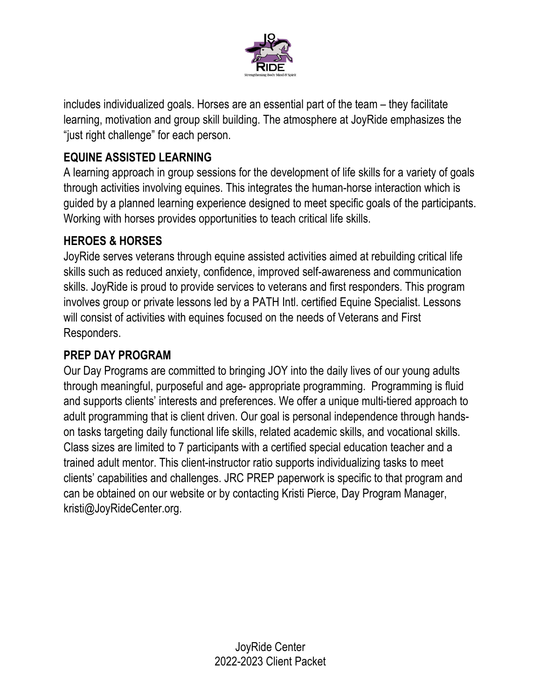

includes individualized goals. Horses are an essential part of the team – they facilitate learning, motivation and group skill building. The atmosphere at JoyRide emphasizes the "just right challenge" for each person.

# **EQUINE ASSISTED LEARNING**

A learning approach in group sessions for the development of life skills for a variety of goals through activities involving equines. This integrates the human-horse interaction which is guided by a planned learning experience designed to meet specific goals of the participants. Working with horses provides opportunities to teach critical life skills.

### **HEROES & HORSES**

JoyRide serves veterans through equine assisted activities aimed at rebuilding critical life skills such as reduced anxiety, confidence, improved self-awareness and communication skills. JoyRide is proud to provide services to veterans and first responders. This program involves group or private lessons led by a PATH Intl. certified Equine Specialist. Lessons will consist of activities with equines focused on the needs of Veterans and First Responders.

### **PREP DAY PROGRAM**

Our Day Programs are committed to bringing JOY into the daily lives of our young adults through meaningful, purposeful and age- appropriate programming. Programming is fluid and supports clients' interests and preferences. We offer a unique multi-tiered approach to adult programming that is client driven. Our goal is personal independence through handson tasks targeting daily functional life skills, related academic skills, and vocational skills. Class sizes are limited to 7 participants with a certified special education teacher and a trained adult mentor. This client-instructor ratio supports individualizing tasks to meet clients' capabilities and challenges. JRC PREP paperwork is specific to that program and can be obtained on our website or by contacting Kristi Pierce, Day Program Manager, kristi@JoyRideCenter.org.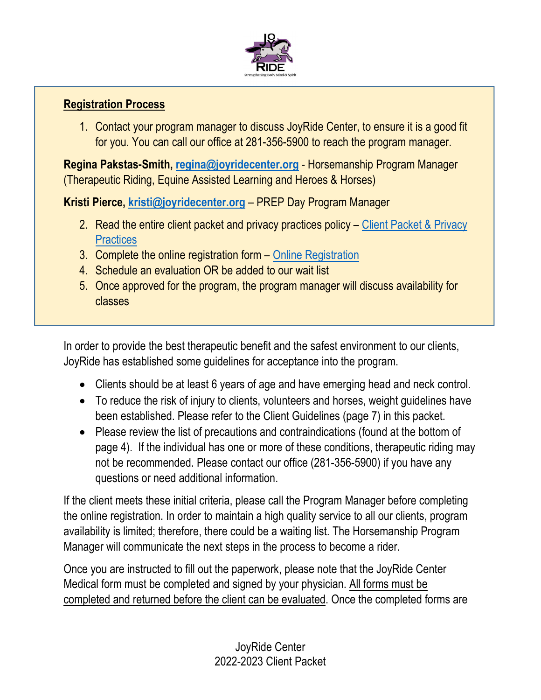

#### **Registration Process**

1. Contact your program manager to discuss JoyRide Center, to ensure it is a good fit for you. You can call our office at 281-356-5900 to reach the program manager.

**Regina Pakstas-Smith, regina@joyridecenter.org** - Horsemanship Program Manager (Therapeutic Riding, Equine Assisted Learning and Heroes & Horses)

**Kristi Pierce, kristi@joyridecenter.org** – PREP Day Program Manager

- 2. Read the entire client packet and privacy practices policy Client Packet & Privacy **Practices**
- 3. Complete the online registration form Online Registration
- 4. Schedule an evaluation OR be added to our wait list
- 5. Once approved for the program, the program manager will discuss availability for classes

In order to provide the best therapeutic benefit and the safest environment to our clients, JoyRide has established some guidelines for acceptance into the program.

- Clients should be at least 6 years of age and have emerging head and neck control.
- To reduce the risk of injury to clients, volunteers and horses, weight guidelines have been established. Please refer to the Client Guidelines (page 7) in this packet.
- Please review the list of precautions and contraindications (found at the bottom of page 4). If the individual has one or more of these conditions, therapeutic riding may not be recommended. Please contact our office (281-356-5900) if you have any questions or need additional information.

If the client meets these initial criteria, please call the Program Manager before completing the online registration. In order to maintain a high quality service to all our clients, program availability is limited; therefore, there could be a waiting list. The Horsemanship Program Manager will communicate the next steps in the process to become a rider.

Once you are instructed to fill out the paperwork, please note that the JoyRide Center Medical form must be completed and signed by your physician. All forms must be completed and returned before the client can be evaluated. Once the completed forms are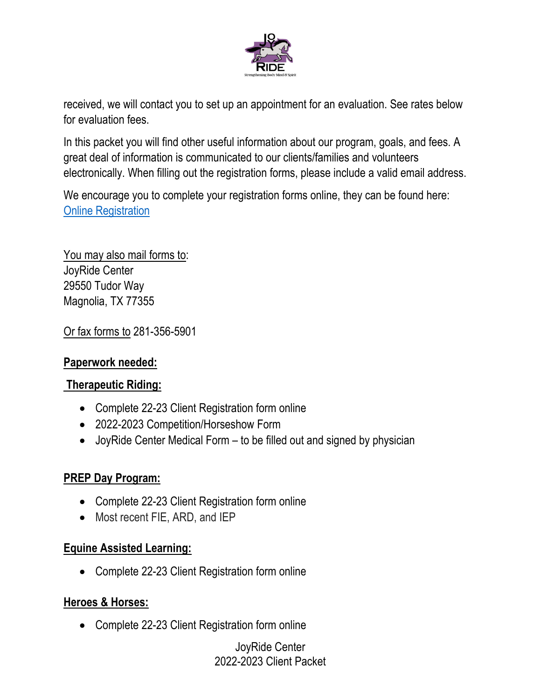

received, we will contact you to set up an appointment for an evaluation. See rates below for evaluation fees.

In this packet you will find other useful information about our program, goals, and fees. A great deal of information is communicated to our clients/families and volunteers electronically. When filling out the registration forms, please include a valid email address.

We encourage you to complete your registration forms online, they can be found here: Online Registration

You may also mail forms to: JoyRide Center 29550 Tudor Way Magnolia, TX 77355

Or fax forms to 281-356-5901

### **Paperwork needed:**

### **Therapeutic Riding:**

- Complete 22-23 Client Registration form online
- 2022-2023 Competition/Horseshow Form
- JoyRide Center Medical Form to be filled out and signed by physician

### **PREP Day Program:**

- Complete 22-23 Client Registration form online
- Most recent FIE, ARD, and IEP

### **Equine Assisted Learning:**

Complete 22-23 Client Registration form online

### **Heroes & Horses:**

Complete 22-23 Client Registration form online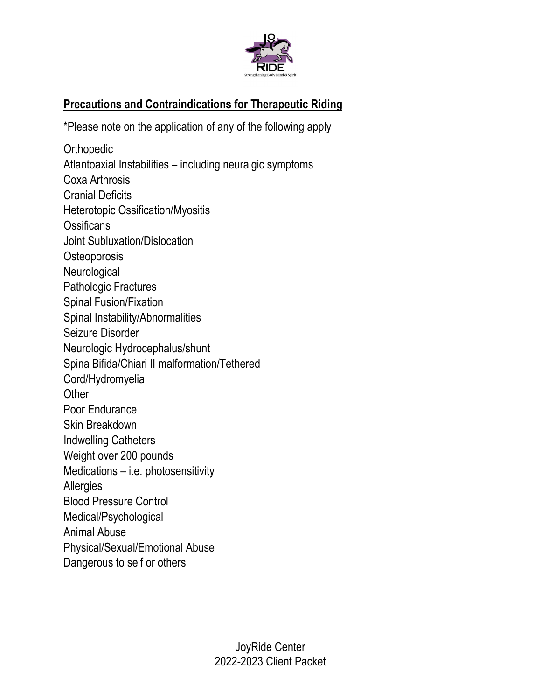

# **Precautions and Contraindications for Therapeutic Riding**

\*Please note on the application of any of the following apply

**Orthopedic** Atlantoaxial Instabilities – including neuralgic symptoms Coxa Arthrosis Cranial Deficits Heterotopic Ossification/Myositis **Ossificans** Joint Subluxation/Dislocation **Osteoporosis Neurological** Pathologic Fractures Spinal Fusion/Fixation Spinal Instability/Abnormalities Seizure Disorder Neurologic Hydrocephalus/shunt Spina Bifida/Chiari II malformation/Tethered Cord/Hydromyelia **Other** Poor Endurance Skin Breakdown Indwelling Catheters Weight over 200 pounds Medications – i.e. photosensitivity **Allergies** Blood Pressure Control Medical/Psychological Animal Abuse Physical/Sexual/Emotional Abuse Dangerous to self or others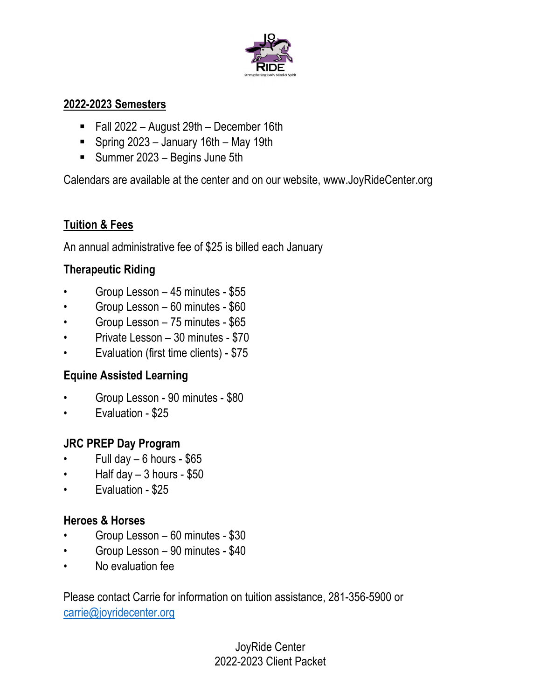

#### **2022-2023 Semesters**

- Fall 2022 August 29th December 16th
- Spring 2023 January 16th May 19th
- **Summer 2023 Begins June 5th**

Calendars are available at the center and on our website, www.JoyRideCenter.org

# **Tuition & Fees**

An annual administrative fee of \$25 is billed each January

# **Therapeutic Riding**

- Group Lesson 45 minutes \$55
- Group Lesson 60 minutes \$60
- Group Lesson 75 minutes \$65
- Private Lesson 30 minutes \$70
- Evaluation (first time clients) \$75

# **Equine Assisted Learning**

- Group Lesson 90 minutes \$80
- Evaluation \$25

# **JRC PREP Day Program**

- Full day  $-6$  hours \$65
- $\cdot$  Half day  $-3$  hours \$50
- Evaluation \$25

# **Heroes & Horses**

- Group Lesson 60 minutes \$30
- Group Lesson 90 minutes \$40
- No evaluation fee

Please contact Carrie for information on tuition assistance, 281-356-5900 or carrie@joyridecenter.org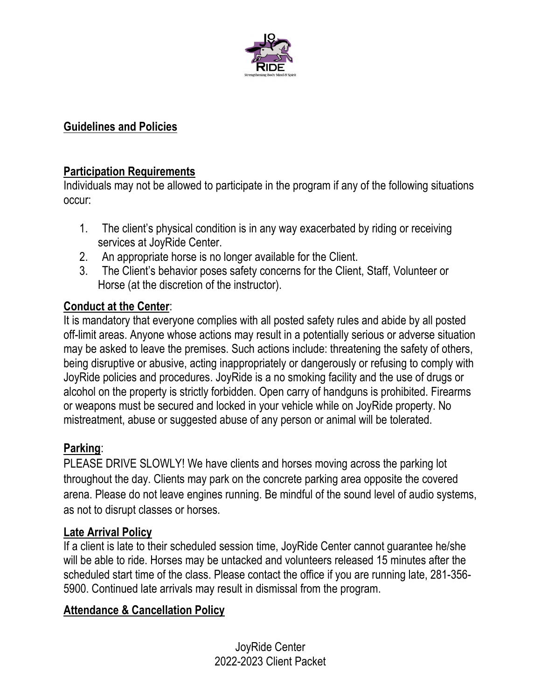

### **Guidelines and Policies**

#### **Participation Requirements**

Individuals may not be allowed to participate in the program if any of the following situations occur:

- 1. The client's physical condition is in any way exacerbated by riding or receiving services at JoyRide Center.
- 2. An appropriate horse is no longer available for the Client.
- 3. The Client's behavior poses safety concerns for the Client, Staff, Volunteer or Horse (at the discretion of the instructor).

### **Conduct at the Center**:

It is mandatory that everyone complies with all posted safety rules and abide by all posted off-limit areas. Anyone whose actions may result in a potentially serious or adverse situation may be asked to leave the premises. Such actions include: threatening the safety of others, being disruptive or abusive, acting inappropriately or dangerously or refusing to comply with JoyRide policies and procedures. JoyRide is a no smoking facility and the use of drugs or alcohol on the property is strictly forbidden. Open carry of handguns is prohibited. Firearms or weapons must be secured and locked in your vehicle while on JoyRide property. No mistreatment, abuse or suggested abuse of any person or animal will be tolerated.

#### **Parking**:

PLEASE DRIVE SLOWLY! We have clients and horses moving across the parking lot throughout the day. Clients may park on the concrete parking area opposite the covered arena. Please do not leave engines running. Be mindful of the sound level of audio systems, as not to disrupt classes or horses.

#### **Late Arrival Policy**

If a client is late to their scheduled session time, JoyRide Center cannot guarantee he/she will be able to ride. Horses may be untacked and volunteers released 15 minutes after the scheduled start time of the class. Please contact the office if you are running late, 281-356- 5900. Continued late arrivals may result in dismissal from the program.

### **Attendance & Cancellation Policy**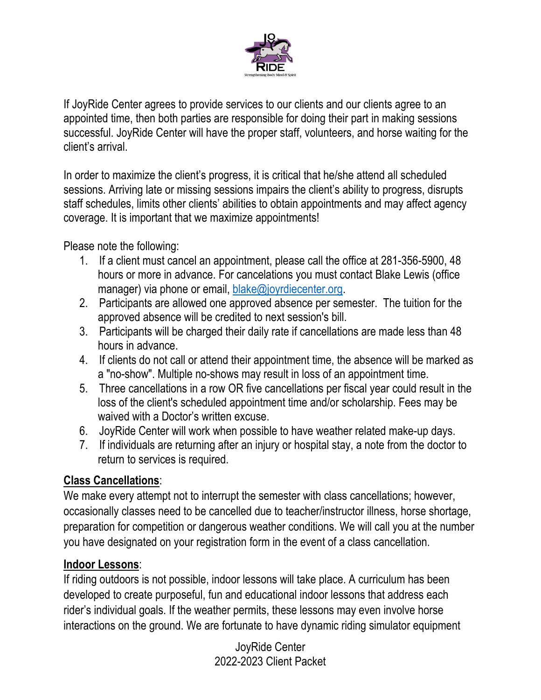

If JoyRide Center agrees to provide services to our clients and our clients agree to an appointed time, then both parties are responsible for doing their part in making sessions successful. JoyRide Center will have the proper staff, volunteers, and horse waiting for the client's arrival.

In order to maximize the client's progress, it is critical that he/she attend all scheduled sessions. Arriving late or missing sessions impairs the client's ability to progress, disrupts staff schedules, limits other clients' abilities to obtain appointments and may affect agency coverage. It is important that we maximize appointments!

Please note the following:

- 1. If a client must cancel an appointment, please call the office at 281-356-5900, 48 hours or more in advance. For cancelations you must contact Blake Lewis (office manager) via phone or email, blake@joyrdiecenter.org.
- 2. Participants are allowed one approved absence per semester. The tuition for the approved absence will be credited to next session's bill.
- 3. Participants will be charged their daily rate if cancellations are made less than 48 hours in advance.
- 4. If clients do not call or attend their appointment time, the absence will be marked as a "no-show". Multiple no-shows may result in loss of an appointment time.
- 5. Three cancellations in a row OR five cancellations per fiscal year could result in the loss of the client's scheduled appointment time and/or scholarship. Fees may be waived with a Doctor's written excuse.
- 6. JoyRide Center will work when possible to have weather related make-up days.
- 7. If individuals are returning after an injury or hospital stay, a note from the doctor to return to services is required.

# **Class Cancellations**:

We make every attempt not to interrupt the semester with class cancellations; however, occasionally classes need to be cancelled due to teacher/instructor illness, horse shortage, preparation for competition or dangerous weather conditions. We will call you at the number you have designated on your registration form in the event of a class cancellation.

# **Indoor Lessons**:

If riding outdoors is not possible, indoor lessons will take place. A curriculum has been developed to create purposeful, fun and educational indoor lessons that address each rider's individual goals. If the weather permits, these lessons may even involve horse interactions on the ground. We are fortunate to have dynamic riding simulator equipment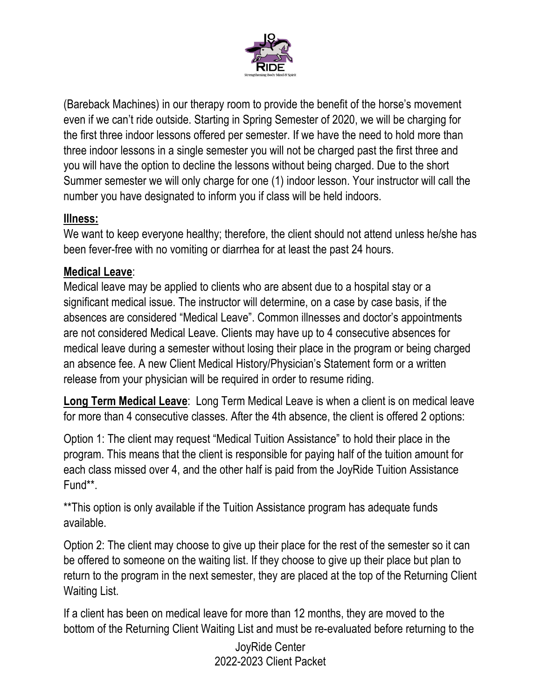

(Bareback Machines) in our therapy room to provide the benefit of the horse's movement even if we can't ride outside. Starting in Spring Semester of 2020, we will be charging for the first three indoor lessons offered per semester. If we have the need to hold more than three indoor lessons in a single semester you will not be charged past the first three and you will have the option to decline the lessons without being charged. Due to the short Summer semester we will only charge for one (1) indoor lesson. Your instructor will call the number you have designated to inform you if class will be held indoors.

### **Illness:**

We want to keep everyone healthy; therefore, the client should not attend unless he/she has been fever-free with no vomiting or diarrhea for at least the past 24 hours.

### **Medical Leave**:

Medical leave may be applied to clients who are absent due to a hospital stay or a significant medical issue. The instructor will determine, on a case by case basis, if the absences are considered "Medical Leave". Common illnesses and doctor's appointments are not considered Medical Leave. Clients may have up to 4 consecutive absences for medical leave during a semester without losing their place in the program or being charged an absence fee. A new Client Medical History/Physician's Statement form or a written release from your physician will be required in order to resume riding.

**Long Term Medical Leave**: Long Term Medical Leave is when a client is on medical leave for more than 4 consecutive classes. After the 4th absence, the client is offered 2 options:

Option 1: The client may request "Medical Tuition Assistance" to hold their place in the program. This means that the client is responsible for paying half of the tuition amount for each class missed over 4, and the other half is paid from the JoyRide Tuition Assistance Fund\*\*.

\*\*This option is only available if the Tuition Assistance program has adequate funds available.

Option 2: The client may choose to give up their place for the rest of the semester so it can be offered to someone on the waiting list. If they choose to give up their place but plan to return to the program in the next semester, they are placed at the top of the Returning Client Waiting List.

If a client has been on medical leave for more than 12 months, they are moved to the bottom of the Returning Client Waiting List and must be re-evaluated before returning to the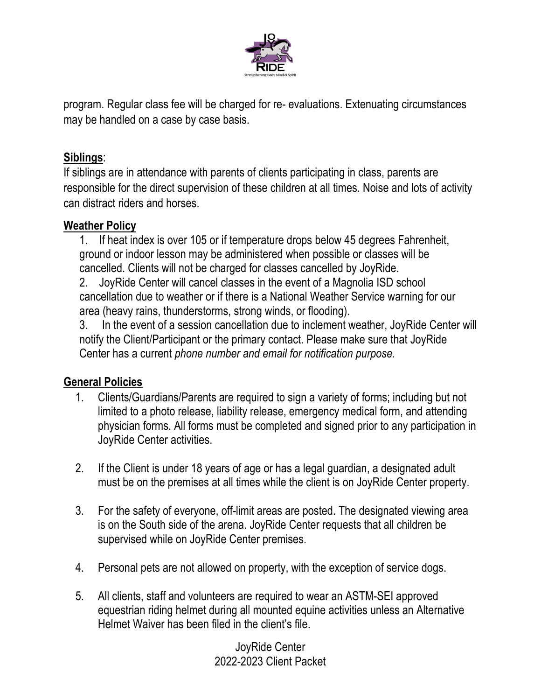

program. Regular class fee will be charged for re- evaluations. Extenuating circumstances may be handled on a case by case basis.

#### **Siblings**:

If siblings are in attendance with parents of clients participating in class, parents are responsible for the direct supervision of these children at all times. Noise and lots of activity can distract riders and horses.

#### **Weather Policy**

1. If heat index is over 105 or if temperature drops below 45 degrees Fahrenheit, ground or indoor lesson may be administered when possible or classes will be cancelled. Clients will not be charged for classes cancelled by JoyRide.

2. JoyRide Center will cancel classes in the event of a Magnolia ISD school cancellation due to weather or if there is a National Weather Service warning for our area (heavy rains, thunderstorms, strong winds, or flooding).

3. In the event of a session cancellation due to inclement weather, JoyRide Center will notify the Client/Participant or the primary contact. Please make sure that JoyRide Center has a current *phone number and email for notification purpose.* 

### **General Policies**

- 1. Clients/Guardians/Parents are required to sign a variety of forms; including but not limited to a photo release, liability release, emergency medical form, and attending physician forms. All forms must be completed and signed prior to any participation in JoyRide Center activities.
- 2. If the Client is under 18 years of age or has a legal guardian, a designated adult must be on the premises at all times while the client is on JoyRide Center property.
- 3. For the safety of everyone, off-limit areas are posted. The designated viewing area is on the South side of the arena. JoyRide Center requests that all children be supervised while on JoyRide Center premises.
- 4. Personal pets are not allowed on property, with the exception of service dogs.
- 5. All clients, staff and volunteers are required to wear an ASTM-SEI approved equestrian riding helmet during all mounted equine activities unless an Alternative Helmet Waiver has been filed in the client's file.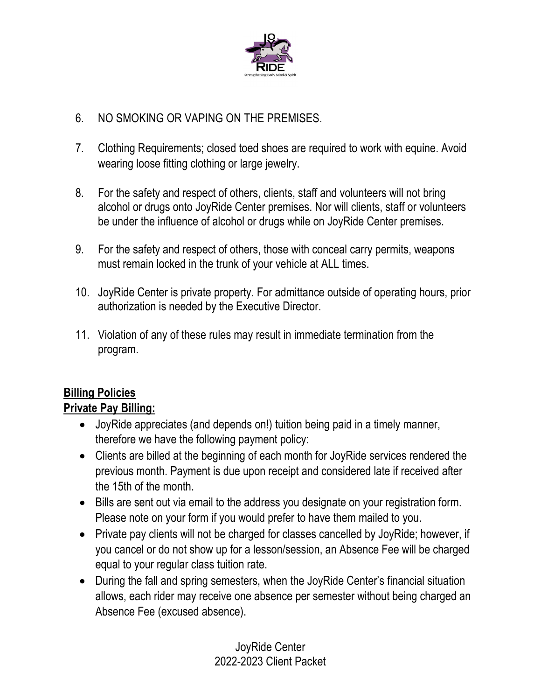

### 6. NO SMOKING OR VAPING ON THE PREMISES.

- 7. Clothing Requirements; closed toed shoes are required to work with equine. Avoid wearing loose fitting clothing or large jewelry.
- 8. For the safety and respect of others, clients, staff and volunteers will not bring alcohol or drugs onto JoyRide Center premises. Nor will clients, staff or volunteers be under the influence of alcohol or drugs while on JoyRide Center premises.
- 9. For the safety and respect of others, those with conceal carry permits, weapons must remain locked in the trunk of your vehicle at ALL times.
- 10. JoyRide Center is private property. For admittance outside of operating hours, prior authorization is needed by the Executive Director.
- 11. Violation of any of these rules may result in immediate termination from the program.

# **Billing Policies**

### **Private Pay Billing:**

- JoyRide appreciates (and depends on!) tuition being paid in a timely manner, therefore we have the following payment policy:
- Clients are billed at the beginning of each month for JoyRide services rendered the previous month. Payment is due upon receipt and considered late if received after the 15th of the month.
- Bills are sent out via email to the address you designate on your registration form. Please note on your form if you would prefer to have them mailed to you.
- Private pay clients will not be charged for classes cancelled by JoyRide; however, if you cancel or do not show up for a lesson/session, an Absence Fee will be charged equal to your regular class tuition rate.
- During the fall and spring semesters, when the JoyRide Center's financial situation allows, each rider may receive one absence per semester without being charged an Absence Fee (excused absence).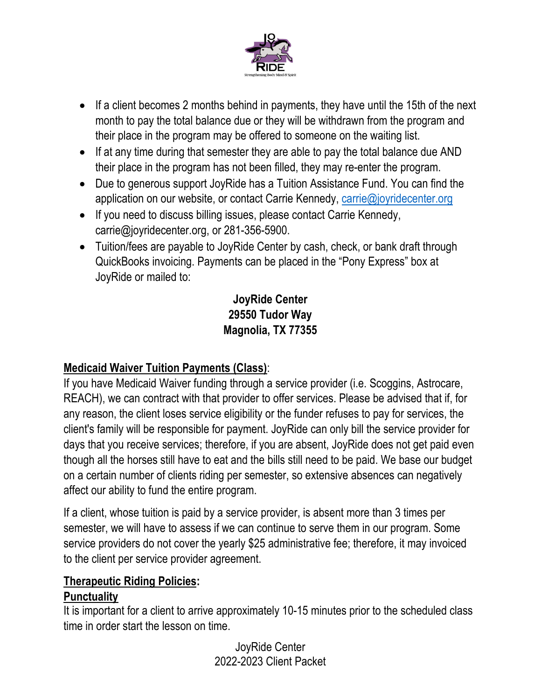

- If a client becomes 2 months behind in payments, they have until the 15th of the next month to pay the total balance due or they will be withdrawn from the program and their place in the program may be offered to someone on the waiting list.
- If at any time during that semester they are able to pay the total balance due AND their place in the program has not been filled, they may re-enter the program.
- Due to generous support JoyRide has a Tuition Assistance Fund. You can find the application on our website, or contact Carrie Kennedy, carrie@joyridecenter.org
- If you need to discuss billing issues, please contact Carrie Kennedy, carrie@joyridecenter.org, or 281-356-5900.
- Tuition/fees are payable to JoyRide Center by cash, check, or bank draft through QuickBooks invoicing. Payments can be placed in the "Pony Express" box at JoyRide or mailed to:

# **JoyRide Center 29550 Tudor Way Magnolia, TX 77355**

# **Medicaid Waiver Tuition Payments (Class)**:

If you have Medicaid Waiver funding through a service provider (i.e. Scoggins, Astrocare, REACH), we can contract with that provider to offer services. Please be advised that if, for any reason, the client loses service eligibility or the funder refuses to pay for services, the client's family will be responsible for payment. JoyRide can only bill the service provider for days that you receive services; therefore, if you are absent, JoyRide does not get paid even though all the horses still have to eat and the bills still need to be paid. We base our budget on a certain number of clients riding per semester, so extensive absences can negatively affect our ability to fund the entire program.

If a client, whose tuition is paid by a service provider, is absent more than 3 times per semester, we will have to assess if we can continue to serve them in our program. Some service providers do not cover the yearly \$25 administrative fee; therefore, it may invoiced to the client per service provider agreement.

### **Therapeutic Riding Policies:**

#### **Punctuality**

It is important for a client to arrive approximately 10-15 minutes prior to the scheduled class time in order start the lesson on time.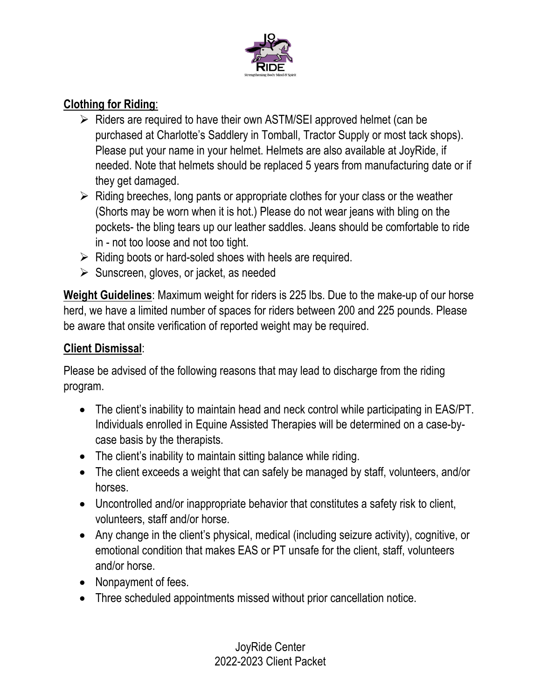

## **Clothing for Riding**:

- $\triangleright$  Riders are required to have their own ASTM/SEI approved helmet (can be purchased at Charlotte's Saddlery in Tomball, Tractor Supply or most tack shops). Please put your name in your helmet. Helmets are also available at JoyRide, if needed. Note that helmets should be replaced 5 years from manufacturing date or if they get damaged.
- $\triangleright$  Riding breeches, long pants or appropriate clothes for your class or the weather (Shorts may be worn when it is hot.) Please do not wear jeans with bling on the pockets- the bling tears up our leather saddles. Jeans should be comfortable to ride in - not too loose and not too tight.
- $\triangleright$  Riding boots or hard-soled shoes with heels are required.
- $\triangleright$  Sunscreen, gloves, or jacket, as needed

**Weight Guidelines**: Maximum weight for riders is 225 lbs. Due to the make-up of our horse herd, we have a limited number of spaces for riders between 200 and 225 pounds. Please be aware that onsite verification of reported weight may be required.

# **Client Dismissal**:

Please be advised of the following reasons that may lead to discharge from the riding program.

- The client's inability to maintain head and neck control while participating in EAS/PT. Individuals enrolled in Equine Assisted Therapies will be determined on a case-bycase basis by the therapists.
- The client's inability to maintain sitting balance while riding.
- The client exceeds a weight that can safely be managed by staff, volunteers, and/or horses.
- Uncontrolled and/or inappropriate behavior that constitutes a safety risk to client, volunteers, staff and/or horse.
- Any change in the client's physical, medical (including seizure activity), cognitive, or emotional condition that makes EAS or PT unsafe for the client, staff, volunteers and/or horse.
- Nonpayment of fees.
- Three scheduled appointments missed without prior cancellation notice.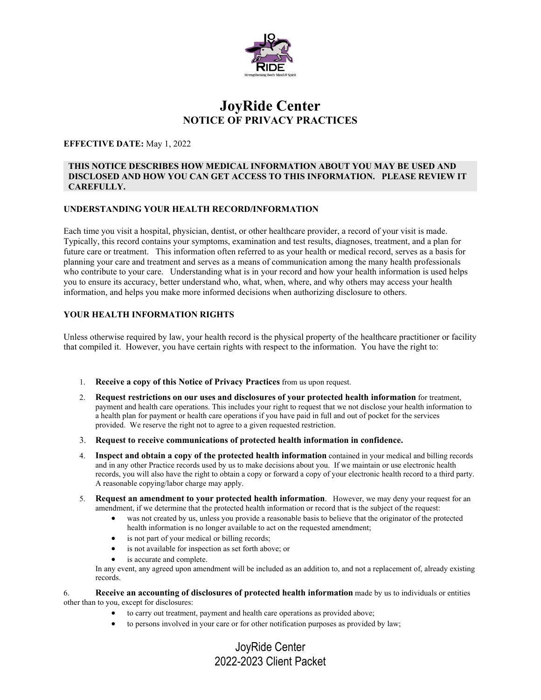

#### **JoyRide Center NOTICE OF PRIVACY PRACTICES**

#### **EFFECTIVE DATE:** May 1, 2022

#### **THIS NOTICE DESCRIBES HOW MEDICAL INFORMATION ABOUT YOU MAY BE USED AND DISCLOSED AND HOW YOU CAN GET ACCESS TO THIS INFORMATION. PLEASE REVIEW IT CAREFULLY.**

#### **UNDERSTANDING YOUR HEALTH RECORD/INFORMATION**

Each time you visit a hospital, physician, dentist, or other healthcare provider, a record of your visit is made. Typically, this record contains your symptoms, examination and test results, diagnoses, treatment, and a plan for future care or treatment. This information often referred to as your health or medical record, serves as a basis for planning your care and treatment and serves as a means of communication among the many health professionals who contribute to your care. Understanding what is in your record and how your health information is used helps you to ensure its accuracy, better understand who, what, when, where, and why others may access your health information, and helps you make more informed decisions when authorizing disclosure to others.

#### **YOUR HEALTH INFORMATION RIGHTS**

Unless otherwise required by law, your health record is the physical property of the healthcare practitioner or facility that compiled it. However, you have certain rights with respect to the information. You have the right to:

- 1. **Receive a copy of this Notice of Privacy Practices** from us upon request.
- 2. **Request restrictions on our uses and disclosures of your protected health information** for treatment, payment and health care operations. This includes your right to request that we not disclose your health information to a health plan for payment or health care operations if you have paid in full and out of pocket for the services provided. We reserve the right not to agree to a given requested restriction.
- 3. **Request to receive communications of protected health information in confidence.**
- 4. **Inspect and obtain a copy of the protected health information** contained in your medical and billing records and in any other Practice records used by us to make decisions about you. If we maintain or use electronic health records, you will also have the right to obtain a copy or forward a copy of your electronic health record to a third party. A reasonable copying/labor charge may apply.
- 5. **Request an amendment to your protected health information**. However, we may deny your request for an amendment, if we determine that the protected health information or record that is the subject of the request:
	- was not created by us, unless you provide a reasonable basis to believe that the originator of the protected health information is no longer available to act on the requested amendment;
	- is not part of your medical or billing records;
	- is not available for inspection as set forth above; or
	- is accurate and complete.

In any event, any agreed upon amendment will be included as an addition to, and not a replacement of, already existing records.

6. **Receive an accounting of disclosures of protected health information** made by us to individuals or entities other than to you, except for disclosures:

- to carry out treatment, payment and health care operations as provided above;
- to persons involved in your care or for other notification purposes as provided by law;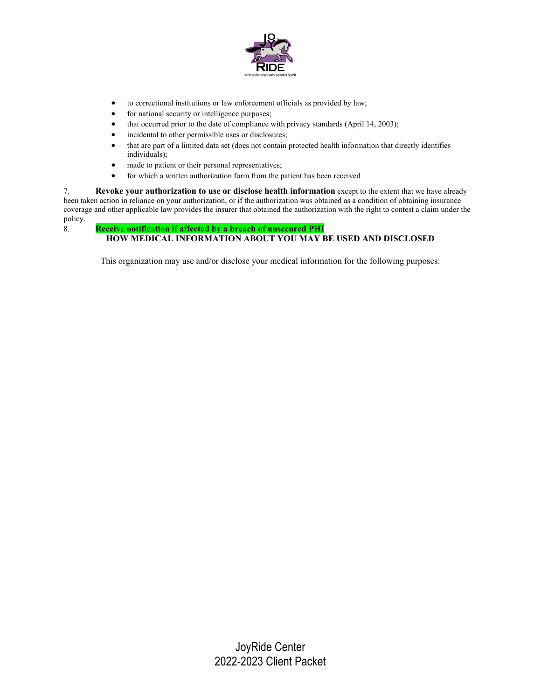

- to correctional institutions or law enforcement officials as provided by law;
- for national security or intelligence purposes;
- that occurred prior to the date of compliance with privacy standards (April 14, 2003);
- incidental to other permissible uses or disclosures;
- that are part of a limited data set (does not contain protected health information that directly identifies individuals);
- made to patient or their personal representatives;
- for which a written authorization form from the patient has been received

7. **Revoke your authorization to use or disclose health information** except to the extent that we have already been taken action in reliance on your authorization, or if the authorization was obtained as a condition of obtaining insurance coverage and other applicable law provides the insurer that obtained the authorization with the right to contest a claim under the policy.

#### 8. **Receive notification if affected by a breach of unsecured PHI HOW MEDICAL INFORMATION ABOUT YOU MAY BE USED AND DISCLOSED**

This organization may use and/or disclose your medical information for the following purposes: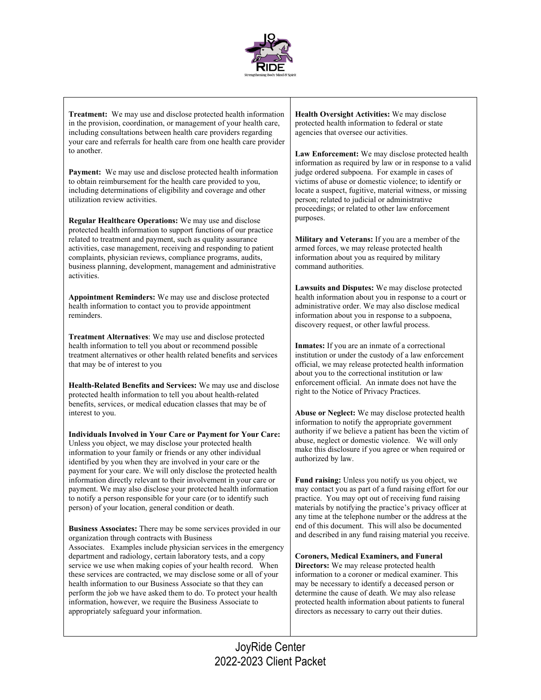

**Treatment:** We may use and disclose protected health information in the provision, coordination, or management of your health care, including consultations between health care providers regarding your care and referrals for health care from one health care provider to another.

**Payment:** We may use and disclose protected health information to obtain reimbursement for the health care provided to you, including determinations of eligibility and coverage and other utilization review activities.

**Regular Healthcare Operations:** We may use and disclose protected health information to support functions of our practice related to treatment and payment, such as quality assurance activities, case management, receiving and responding to patient complaints, physician reviews, compliance programs, audits, business planning, development, management and administrative activities.

**Appointment Reminders:** We may use and disclose protected health information to contact you to provide appointment reminders.

**Treatment Alternatives**: We may use and disclose protected health information to tell you about or recommend possible treatment alternatives or other health related benefits and services that may be of interest to you

**Health-Related Benefits and Services:** We may use and disclose protected health information to tell you about health-related benefits, services, or medical education classes that may be of interest to you.

**Individuals Involved in Your Care or Payment for Your Care:** Unless you object, we may disclose your protected health information to your family or friends or any other individual identified by you when they are involved in your care or the payment for your care. We will only disclose the protected health information directly relevant to their involvement in your care or payment. We may also disclose your protected health information to notify a person responsible for your care (or to identify such person) of your location, general condition or death.

**Business Associates:** There may be some services provided in our organization through contracts with Business Associates. Examples include physician services in the emergency department and radiology, certain laboratory tests, and a copy service we use when making copies of your health record. When these services are contracted, we may disclose some or all of your health information to our Business Associate so that they can perform the job we have asked them to do. To protect your health information, however, we require the Business Associate to appropriately safeguard your information.

**Health Oversight Activities:** We may disclose protected health information to federal or state agencies that oversee our activities.

**Law Enforcement:** We may disclose protected health information as required by law or in response to a valid judge ordered subpoena. For example in cases of victims of abuse or domestic violence; to identify or locate a suspect, fugitive, material witness, or missing person; related to judicial or administrative proceedings; or related to other law enforcement purposes.

**Military and Veterans:** If you are a member of the armed forces, we may release protected health information about you as required by military command authorities.

**Lawsuits and Disputes:** We may disclose protected health information about you in response to a court or administrative order. We may also disclose medical information about you in response to a subpoena, discovery request, or other lawful process.

**Inmates:** If you are an inmate of a correctional institution or under the custody of a law enforcement official, we may release protected health information about you to the correctional institution or law enforcement official. An inmate does not have the right to the Notice of Privacy Practices.

**Abuse or Neglect:** We may disclose protected health information to notify the appropriate government authority if we believe a patient has been the victim of abuse, neglect or domestic violence. We will only make this disclosure if you agree or when required or authorized by law.

**Fund raising:** Unless you notify us you object, we may contact you as part of a fund raising effort for our practice. You may opt out of receiving fund raising materials by notifying the practice's privacy officer at any time at the telephone number or the address at the end of this document. This will also be documented and described in any fund raising material you receive.

**Coroners, Medical Examiners, and Funeral Directors:** We may release protected health information to a coroner or medical examiner. This may be necessary to identify a deceased person or determine the cause of death. We may also release protected health information about patients to funeral directors as necessary to carry out their duties.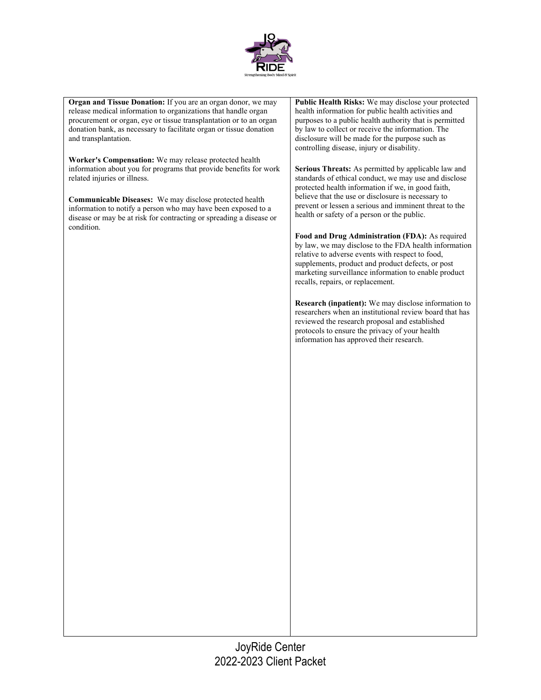

**Organ and Tissue Donation:** If you are an organ donor, we may release medical information to organizations that handle organ procurement or organ, eye or tissue transplantation or to an organ donation bank, as necessary to facilitate organ or tissue donation and transplantation.

**Worker's Compensation:** We may release protected health information about you for programs that provide benefits for work related injuries or illness.

**Communicable Diseases:** We may disclose protected health information to notify a person who may have been exposed to a disease or may be at risk for contracting or spreading a disease or condition.

**Public Health Risks:** We may disclose your protected health information for public health activities and purposes to a public health authority that is permitted by law to collect or receive the information. The disclosure will be made for the purpose such as controlling disease, injury or disability.

**Serious Threats:** As permitted by applicable law and standards of ethical conduct, we may use and disclose protected health information if we, in good faith, believe that the use or disclosure is necessary to prevent or lessen a serious and imminent threat to the health or safety of a person or the public.

**Food and Drug Administration (FDA):** As required by law, we may disclose to the FDA health information relative to adverse events with respect to food, supplements, product and product defects, or post marketing surveillance information to enable product recalls, repairs, or replacement.

**Research (inpatient):** We may disclose information to researchers when an institutional review board that has reviewed the research proposal and established protocols to ensure the privacy of your health information has approved their research.